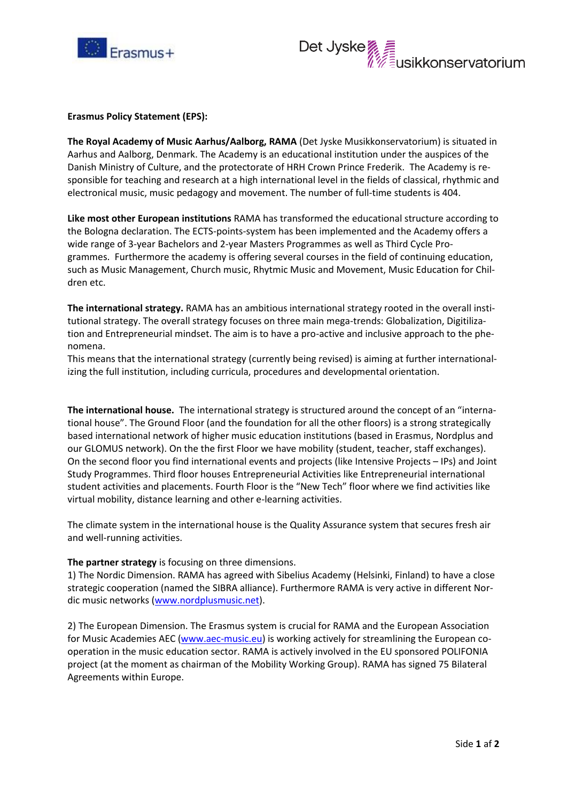



## **Erasmus Policy Statement (EPS):**

**The Royal Academy of Music Aarhus/Aalborg, RAMA** (Det Jyske Musikkonservatorium) is situated in Aarhus and Aalborg, Denmark. The Academy is an educational institution under the auspices of the Danish Ministry of Culture, and the protectorate of HRH Crown Prince Frederik. The Academy is responsible for teaching and research at a high international level in the fields of classical, rhythmic and electronical music, music pedagogy and movement. The number of full-time students is 404.

**Like most other European institutions** RAMA has transformed the educational structure according to the Bologna declaration. The ECTS-points-system has been implemented and the Academy offers a wide range of 3-year Bachelors and 2-year Masters Programmes as well as Third Cycle Programmes. Furthermore the academy is offering several courses in the field of continuing education, such as Music Management, Church music, Rhytmic Music and Movement, Music Education for Children etc.

**The international strategy.** RAMA has an ambitious international strategy rooted in the overall institutional strategy. The overall strategy focuses on three main mega-trends: Globalization, Digitilization and Entrepreneurial mindset. The aim is to have a pro-active and inclusive approach to the phenomena.

This means that the international strategy (currently being revised) is aiming at further internationalizing the full institution, including curricula, procedures and developmental orientation.

**The international house.** The international strategy is structured around the concept of an "international house". The Ground Floor (and the foundation for all the other floors) is a strong strategically based international network of higher music education institutions (based in Erasmus, Nordplus and our GLOMUS network). On the the first Floor we have mobility (student, teacher, staff exchanges). On the second floor you find international events and projects (like Intensive Projects – IPs) and Joint Study Programmes. Third floor houses Entrepreneurial Activities like Entrepreneurial international student activities and placements. Fourth Floor is the "New Tech" floor where we find activities like virtual mobility, distance learning and other e-learning activities.

The climate system in the international house is the Quality Assurance system that secures fresh air and well-running activities.

## **The partner strategy** is focusing on three dimensions.

1) The Nordic Dimension. RAMA has agreed with Sibelius Academy (Helsinki, Finland) to have a close strategic cooperation (named the SIBRA alliance). Furthermore RAMA is very active in different Nordic music networks [\(www.nordplusmusic.net\)](http://www.nordplusmusic.net/).

2) The European Dimension. The Erasmus system is crucial for RAMA and the European Association for Music Academies AEC [\(www.aec-music.eu\)](http://www.aec-music.eu/) is working actively for streamlining the European cooperation in the music education sector. RAMA is actively involved in the EU sponsored POLIFONIA project (at the moment as chairman of the Mobility Working Group). RAMA has signed 75 Bilateral Agreements within Europe.